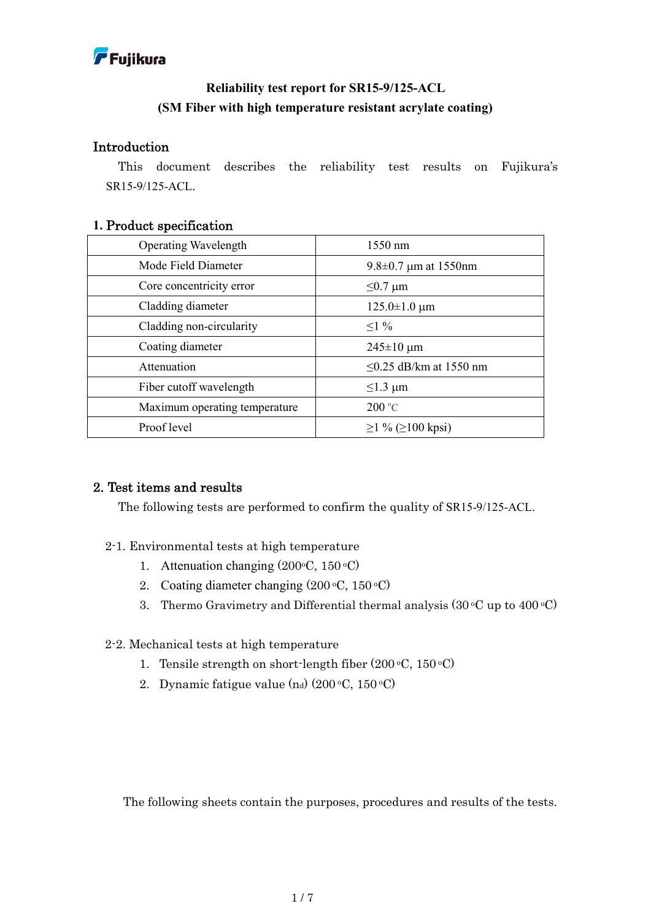

## **Reliability test report for SR15-9/125-ACL (SM Fiber with high temperature resistant acrylate coating)**

### Introduction

This document describes the reliability test results on Fujikura's SR15-9/125-ACL.

#### **1.** Product specification

| <b>Operating Wavelength</b>   | 1550 nm                      |
|-------------------------------|------------------------------|
| Mode Field Diameter           | 9.8 $\pm$ 0.7 µm at 1550nm   |
| Core concentricity error      | $\leq 0.7 \mu m$             |
| Cladding diameter             | $125.0 \pm 1.0 \mu m$        |
| Cladding non-circularity      | $\leq$ 1 %                   |
| Coating diameter              | $245 \pm 10 \mu m$           |
| Attenuation                   | $\leq$ 0.25 dB/km at 1550 nm |
| Fiber cutoff wavelength       | $\leq$ 1.3 µm                |
| Maximum operating temperature | $200^{\circ}$ C              |
| Proof level                   | $\geq$ 1 % (≥100 kpsi)       |

## 2. Test items and results

The following tests are performed to confirm the quality of SR15-9/125-ACL.

- 2-1. Environmental tests at high temperature
	- 1. Attenuation changing (200°C, 150°C)
	- 2. Coating diameter changing  $(200 °C, 150 °C)$
	- 3. Thermo Gravimetry and Differential thermal analysis  $(30 °C)$  up to  $400 °C)$

#### 2-2. Mechanical tests at high temperature

- 1. Tensile strength on short-length fiber  $(200 °C, 150 °C)$
- 2. Dynamic fatigue value  $(n_d)$  (200 °C, 150 °C)

The following sheets contain the purposes, procedures and results of the tests.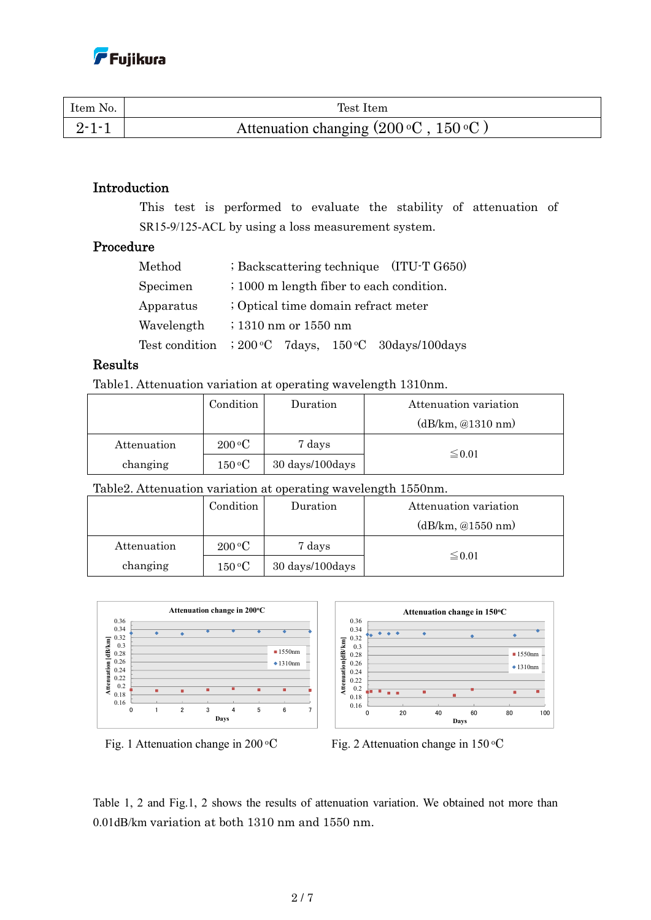| Item No.    | Test Item                                             |
|-------------|-------------------------------------------------------|
| $9 - 1 - 1$ | Attenuation changing $(200 \degree C, 150 \degree C)$ |

### Introduction

This test is performed to evaluate the stability of attenuation of SR15-9/125-ACL by using a loss measurement system.

## Procedure

| Method     | $\frac{1}{2}$ Backscattering technique (ITU-T G650)            |  |  |
|------------|----------------------------------------------------------------|--|--|
| Specimen   | ; 1000 m length fiber to each condition.                       |  |  |
| Apparatus  | ; Optical time domain refract meter                            |  |  |
| Wavelength | $\frac{1310 \text{ nm}}{2010 \text{ nm}}$ or $1550 \text{ nm}$ |  |  |
|            | Test condition $\;$ : 200 °C 7days, 150 °C 30days/100days      |  |  |

### Results

Table1. Attenuation variation at operating wavelength 1310nm.

|             | Condition                 | Duration        | Attenuation variation |  |
|-------------|---------------------------|-----------------|-----------------------|--|
|             |                           |                 | (dB/km, @1310 nm)     |  |
| Attenuation | $200\,^{\circ}\mathrm{C}$ | 7 days          |                       |  |
| changing    | $150\,^{\rm o}\mathrm{C}$ | 30 days/100days | $\leq 0.01$           |  |

Table2. Attenuation variation at operating wavelength 1550nm.

|             | Condition                 | Duration        | Attenuation variation |  |
|-------------|---------------------------|-----------------|-----------------------|--|
|             |                           |                 | (dB/km, @1550 nm)     |  |
| Attenuation | $200\,^{\circ}\mathrm{C}$ | 7 days          |                       |  |
| changing    | $150\,^{\rm o}\mathrm{C}$ | 30 days/100days | $\leq 0.01$           |  |







Table 1, 2 and Fig.1, 2 shows the results of attenuation variation. We obtained not more than 0.01dB/km variation at both 1310 nm and 1550 nm.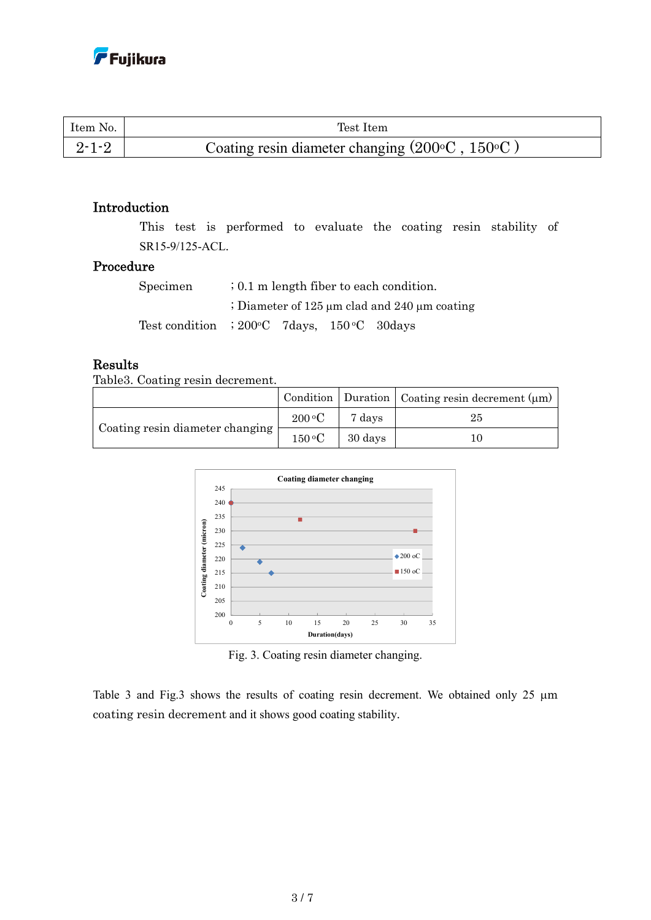| Item No.    | Test Item                                                      |
|-------------|----------------------------------------------------------------|
| $2 - 1 - 2$ | Coating resin diameter changing $(200\degree C, 150\degree C)$ |

### Introduction

This test is performed to evaluate the coating resin stability of SR15-9/125-ACL.

### Procedure

| Specimen                                                 | $\frac{1}{2}$ , 0.1 m length fiber to each condition. |  |                                                        |
|----------------------------------------------------------|-------------------------------------------------------|--|--------------------------------------------------------|
|                                                          |                                                       |  | ; Diameter of 125 $\mu$ m clad and 240 $\mu$ m coating |
| Test condition $\;$ : 200 °C $\;$ 7 days, 150 °C 30 days |                                                       |  |                                                        |

## Results

Table3. Coating resin decrement.

|                                 |                           |                                 | Condition   Duration   Coating resin decrement $(\mu m)$ |
|---------------------------------|---------------------------|---------------------------------|----------------------------------------------------------|
| Coating resin diameter changing | $200\,^{\circ}\mathrm{C}$ | 7 days                          | 25                                                       |
|                                 |                           | $150\,^{\circ}\text{C}$ 30 days | 10                                                       |



Fig. 3. Coating resin diameter changing.

Table 3 and Fig.3 shows the results of coating resin decrement. We obtained only 25  $\mu$ m coating resin decrement and it shows good coating stability.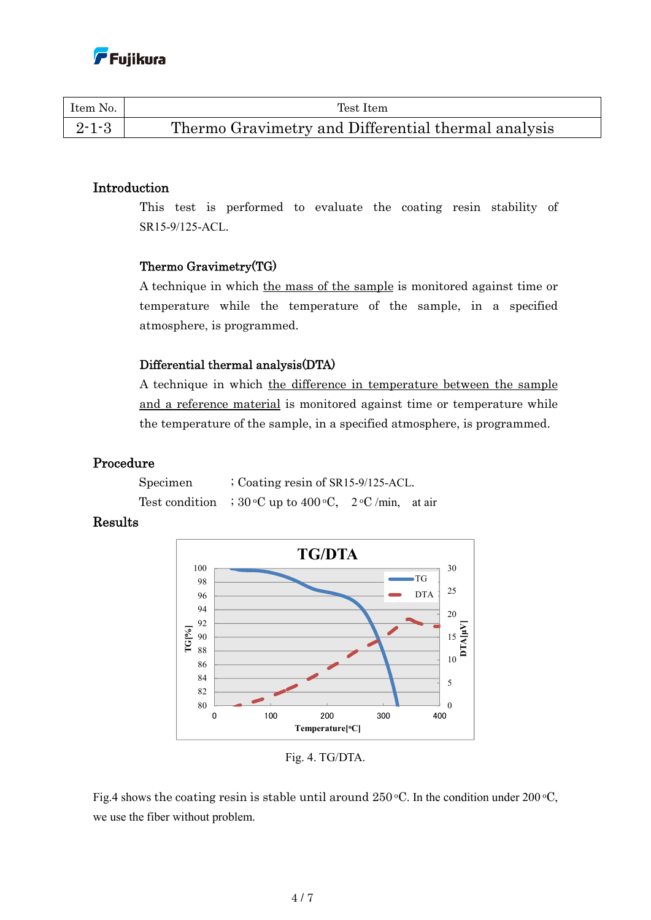| Item No.    | Test Item                                           |
|-------------|-----------------------------------------------------|
| $2 - 1 - 3$ | Thermo Gravimetry and Differential thermal analysis |

### Introduction

This test is performed to evaluate the coating resin stability of SR15-9/125-ACL.

## Thermo Gravimetry(TG)

A technique in which the mass of the sample is monitored against time or temperature while the temperature of the sample, in a specified atmosphere, is programmed.

### Differential thermal analysis(DTA)

A technique in which the difference in temperature between the sample and a reference material is monitored against time or temperature while the temperature of the sample, in a specified atmosphere, is programmed.

### Procedure

| Specimen | $\frac{1}{2}$ Coating resin of SR15-9/125-ACL.                   |  |
|----------|------------------------------------------------------------------|--|
|          | Test condition $\therefore$ 30 °C up to 400 °C, 2 °C/min, at air |  |

## Results



Fig. 4. TG/DTA.

Fig.4 shows the coating resin is stable until around  $250^{\circ}$ C. In the condition under  $200^{\circ}$ C, we use the fiber without problem.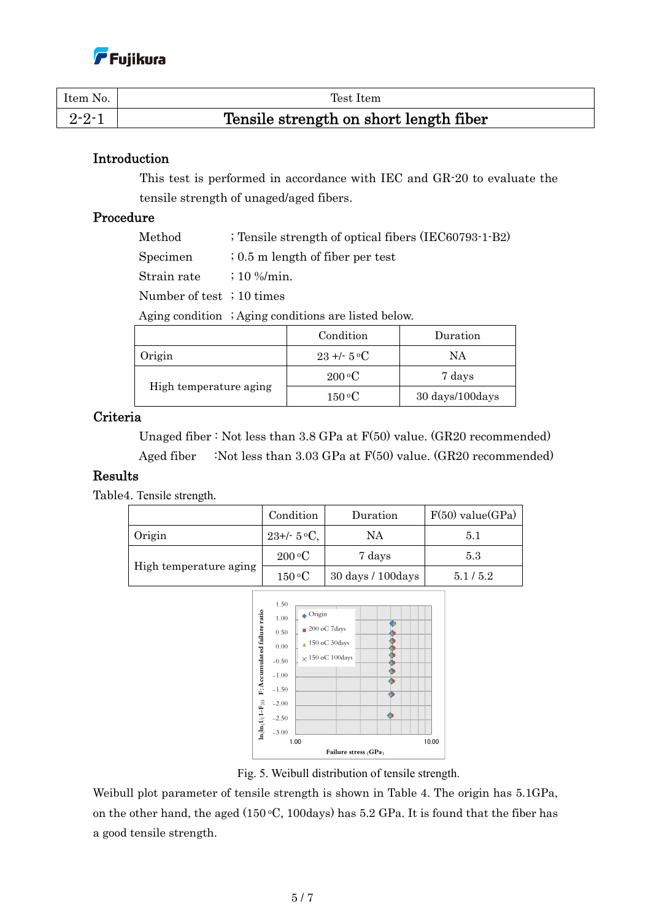| Item No.    | Test Item                              |
|-------------|----------------------------------------|
| $2 - 2 - 1$ | Tensile strength on short length fiber |

### Introduction

This test is performed in accordance with IEC and GR-20 to evaluate the tensile strength of unaged/aged fibers.

#### Procedure

Method ; Tensile strength of optical fibers (IEC60793-1-B2)

Specimen ; 0.5 m length of fiber per test

Strain rate ; 10 %/min.

Number of test ; 10 times

Aging condition ; Aging conditions are listed below.

|                        | Condition                 | Duration        |
|------------------------|---------------------------|-----------------|
| Origin                 | $23 + 5$ °C               | NΑ              |
|                        | $200\,^{\circ}\mathrm{C}$ | 7 days          |
| High temperature aging | $150\,^{\circ}\mathrm{C}$ | 30 days/100days |

#### Criteria

 Unaged fiber : Not less than 3.8 GPa at F(50) value. (GR20 recommended) Aged fiber :Not less than 3.03 GPa at F(50) value. (GR20 recommended)

### Results

Table4. Tensile strength.

|                                                          | Condition                 | Duration          | $F(50)$ value(GPa) |
|----------------------------------------------------------|---------------------------|-------------------|--------------------|
| Origin                                                   | $23+/- 5$ °C,             | NΑ                | 5.1                |
|                                                          | $200\,^{\circ}\mathrm{C}$ | 7 days            | 5.3                |
| High temperature aging<br>$150\,^{\mathrm{o}}\mathrm{C}$ |                           | 30 days / 100days | 5.1/5.2            |



Fig. 5. Weibull distribution of tensile strength.

Weibull plot parameter of tensile strength is shown in Table 4. The origin has 5.1GPa, on the other hand, the aged  $(150 °C, 100 \text{days})$  has  $5.2 \text{ GPa}$ . It is found that the fiber has a good tensile strength.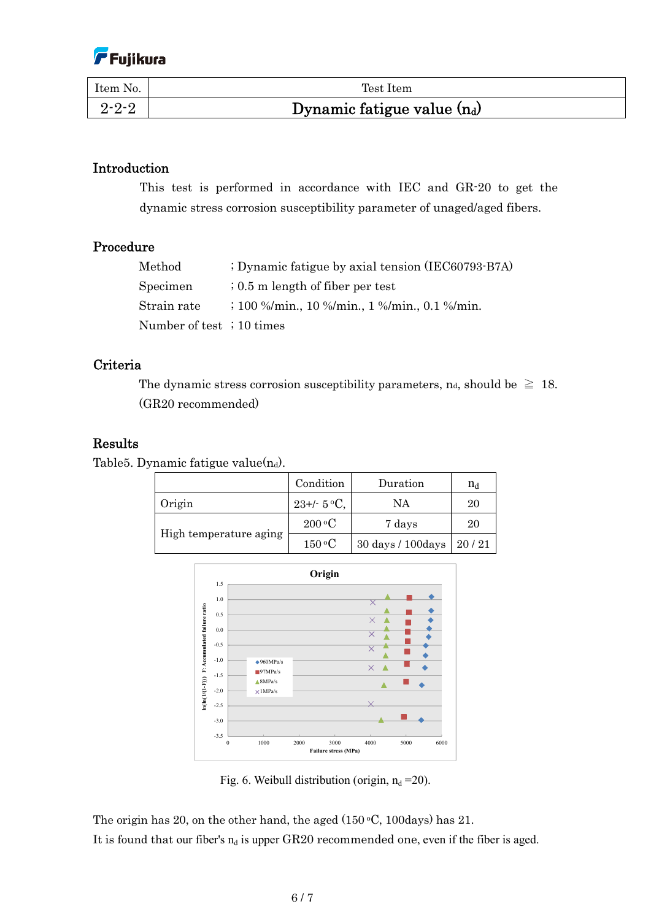

| Item No.    | Test Item                     |
|-------------|-------------------------------|
| $2 - 2 - 2$ | Dynamic fatigue value $(n_d)$ |

#### Introduction

This test is performed in accordance with IEC and GR-20 to get the dynamic stress corrosion susceptibility parameter of unaged/aged fibers.

#### Procedure

| Method                    | ; Dynamic fatigue by axial tension (IEC60793-B7A)                                          |
|---------------------------|--------------------------------------------------------------------------------------------|
| Specimen                  | $\frac{1}{2}$ , 0.5 m length of fiber per test                                             |
| Strain rate               | $\frac{100 \frac{9}{\pi} \text{min}}{100 \frac{9}{\pi} \text{min}}$ , 1 %/min., 0.1 %/min. |
| Number of test ; 10 times |                                                                                            |

### Criteria

The dynamic stress corrosion susceptibility parameters, n<sub>d</sub>, should be  $\geq 18$ . (GR20 recommended)

#### Results

Table5. Dynamic fatigue value $(n_d)$ .

|                        | Condition                 | Duration           | $n_d$ |
|------------------------|---------------------------|--------------------|-------|
| Origin                 | $23+/- 5$ °C,             | NΑ                 | 20    |
| High temperature aging | $200\,^{\circ}\mathrm{C}$ | 7 days             | 20    |
|                        | $150\,^{\rm o}$ C         | 30 days / 100 days | 20/21 |



Fig. 6. Weibull distribution (origin,  $n_d = 20$ ).

The origin has 20, on the other hand, the aged  $(150 °C, 100 \text{days})$  has 21. It is found that our fiber's  $n_d$  is upper GR20 recommended one, even if the fiber is aged.